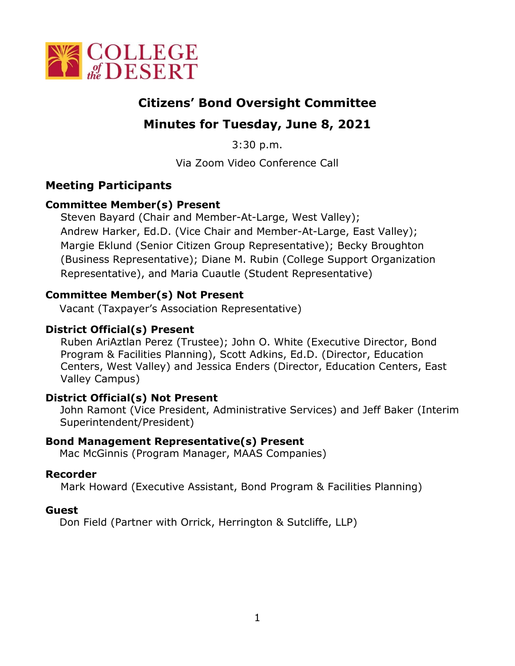

# **Citizens' Bond Oversight Committee**

# **Minutes for Tuesday, June 8, 2021**

3:30 p.m.

Via Zoom Video Conference Call

## **Meeting Participants**

## **Committee Member(s) Present**

Steven Bayard (Chair and Member-At-Large, West Valley); Andrew Harker, Ed.D. (Vice Chair and Member-At-Large, East Valley); Margie Eklund (Senior Citizen Group Representative); Becky Broughton (Business Representative); Diane M. Rubin (College Support Organization Representative), and Maria Cuautle (Student Representative)

## **Committee Member(s) Not Present**

Vacant (Taxpayer's Association Representative)

## **District Official(s) Present**

Ruben AriAztlan Perez (Trustee); John O. White (Executive Director, Bond Program & Facilities Planning), Scott Adkins, Ed.D. (Director, Education Centers, West Valley) and Jessica Enders (Director, Education Centers, East Valley Campus)

## **District Official(s) Not Present**

John Ramont (Vice President, Administrative Services) and Jeff Baker (Interim Superintendent/President)

## **Bond Management Representative(s) Present**

Mac McGinnis (Program Manager, MAAS Companies)

## **Recorder**

Mark Howard (Executive Assistant, Bond Program & Facilities Planning)

## **Guest**

Don Field (Partner with Orrick, Herrington & Sutcliffe, LLP)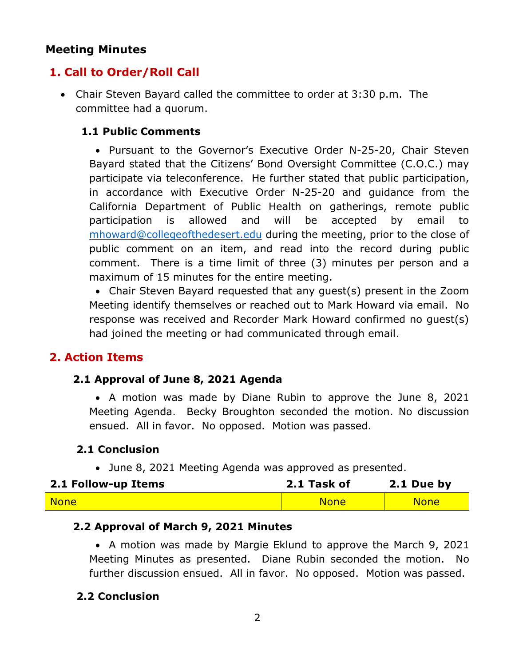## **Meeting Minutes**

## **1. Call to Order/Roll Call**

• Chair Steven Bayard called the committee to order at 3:30 p.m. The committee had a quorum.

#### **1.1 Public Comments**

• Pursuant to the Governor's Executive Order N-25-20, Chair Steven Bayard stated that the Citizens' Bond Oversight Committee (C.O.C.) may participate via teleconference. He further stated that public participation, in accordance with Executive Order N-25-20 and guidance from the California Department of Public Health on gatherings, remote public participation is allowed and will be accepted by email to [mhoward@collegeofthedesert.edu](mailto:mhoward@collegeofthedesert.edu) during the meeting, prior to the close of public comment on an item, and read into the record during public comment. There is a time limit of three (3) minutes per person and a maximum of 15 minutes for the entire meeting.

• Chair Steven Bayard requested that any guest(s) present in the Zoom Meeting identify themselves or reached out to Mark Howard via email. No response was received and Recorder Mark Howard confirmed no guest(s) had joined the meeting or had communicated through email.

## **2. Action Items**

#### **2.1 Approval of June 8, 2021 Agenda**

• A motion was made by Diane Rubin to approve the June 8, 2021 Meeting Agenda. Becky Broughton seconded the motion. No discussion ensued. All in favor. No opposed. Motion was passed.

## **2.1 Conclusion**

• June 8, 2021 Meeting Agenda was approved as presented.

| 2.1 Follow-up Items | 2.1 Task of | 2.1 Due by  |
|---------------------|-------------|-------------|
| <b>None</b>         | <b>None</b> | <b>None</b> |

#### **2.2 Approval of March 9, 2021 Minutes**

• A motion was made by Margie Eklund to approve the March 9, 2021 Meeting Minutes as presented. Diane Rubin seconded the motion. No further discussion ensued. All in favor. No opposed. Motion was passed.

## **2.2 Conclusion**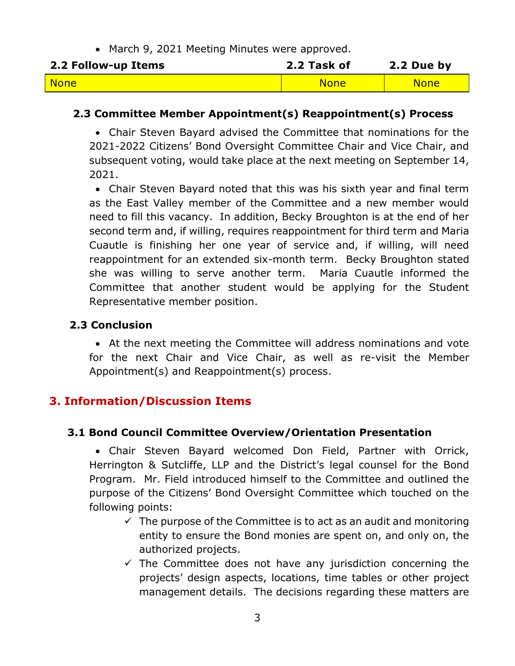• March 9, 2021 Meeting Minutes were approved.

| 2.2 Follow-up Items | 2.2 Task of | 2.2 Due by  |
|---------------------|-------------|-------------|
| <b>None</b>         | <b>None</b> | <b>None</b> |

#### **2.3 Committee Member Appointment(s) Reappointment(s) Process**

• Chair Steven Bayard advised the Committee that nominations for the 2021-2022 Citizens' Bond Oversight Committee Chair and Vice Chair, and subsequent voting, would take place at the next meeting on September 14, 2021.

• Chair Steven Bayard noted that this was his sixth year and final term as the East Valley member of the Committee and a new member would need to fill this vacancy. In addition, Becky Broughton is at the end of her second term and, if willing, requires reappointment for third term and Maria Cuautle is finishing her one year of service and, if willing, will need reappointment for an extended six-month term. Becky Broughton stated she was willing to serve another term. Maria Cuautle informed the Committee that another student would be applying for the Student Representative member position.

## **2.3 Conclusion**

• At the next meeting the Committee will address nominations and vote for the next Chair and Vice Chair, as well as re-visit the Member Appointment(s) and Reappointment(s) process.

## **3. Information/Discussion Items**

#### **3.1 Bond Council Committee Overview/Orientation Presentation**

• Chair Steven Bayard welcomed Don Field, Partner with Orrick, Herrington & Sutcliffe, LLP and the District's legal counsel for the Bond Program. Mr. Field introduced himself to the Committee and outlined the purpose of the Citizens' Bond Oversight Committee which touched on the following points:

- $\checkmark$  The purpose of the Committee is to act as an audit and monitoring entity to ensure the Bond monies are spent on, and only on, the authorized projects.
- $\checkmark$  The Committee does not have any jurisdiction concerning the projects' design aspects, locations, time tables or other project management details. The decisions regarding these matters are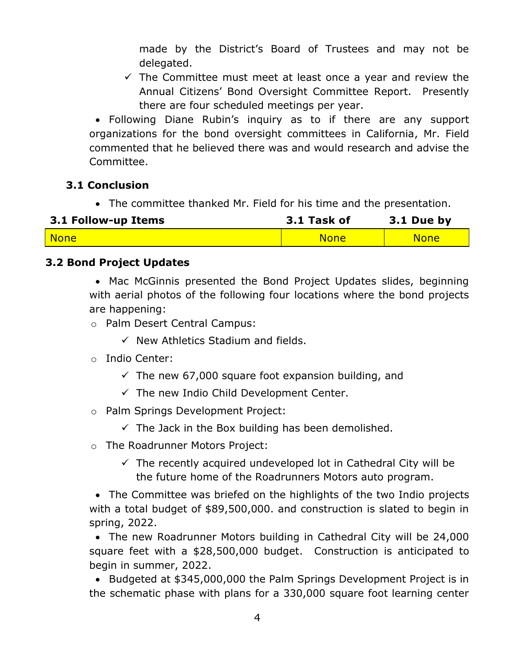made by the District's Board of Trustees and may not be delegated.

 $\checkmark$  The Committee must meet at least once a year and review the Annual Citizens' Bond Oversight Committee Report. Presently there are four scheduled meetings per year.

• Following Diane Rubin's inquiry as to if there are any support organizations for the bond oversight committees in California, Mr. Field commented that he believed there was and would research and advise the Committee.

## **3.1 Conclusion**

• The committee thanked Mr. Field for his time and the presentation.

| 3.1 Follow-up Items | 3.1 Task of | $3.1$ Due by |
|---------------------|-------------|--------------|
| <b>None</b>         | <b>None</b> | <b>None</b>  |

## **3.2 Bond Project Updates**

• Mac McGinnis presented the Bond Project Updates slides, beginning with aerial photos of the following four locations where the bond projects are happening:

- o Palm Desert Central Campus:
	- $\checkmark$  New Athletics Stadium and fields.
- o Indio Center:
	- $\checkmark$  The new 67,000 square foot expansion building, and
	- $\checkmark$  The new Indio Child Development Center.
- o Palm Springs Development Project:
	- $\checkmark$  The Jack in the Box building has been demolished.
- o The Roadrunner Motors Project:
	- $\checkmark$  The recently acquired undeveloped lot in Cathedral City will be the future home of the Roadrunners Motors auto program.

• The Committee was briefed on the highlights of the two Indio projects with a total budget of \$89,500,000. and construction is slated to begin in spring, 2022.

• The new Roadrunner Motors building in Cathedral City will be 24,000 square feet with a \$28,500,000 budget. Construction is anticipated to begin in summer, 2022.

• Budgeted at \$345,000,000 the Palm Springs Development Project is in the schematic phase with plans for a 330,000 square foot learning center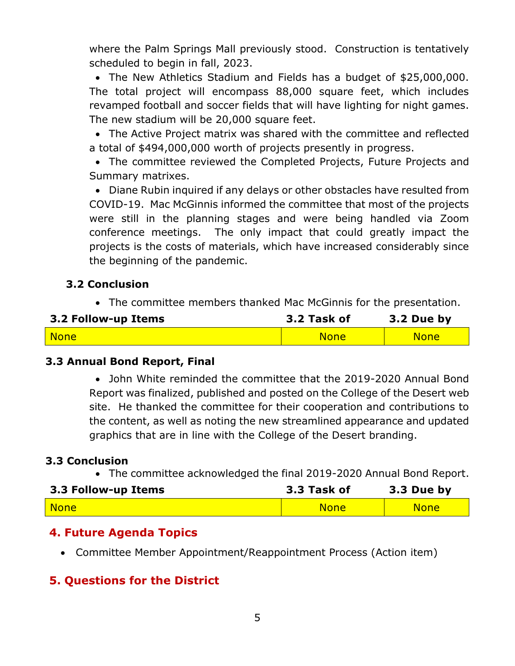where the Palm Springs Mall previously stood. Construction is tentatively scheduled to begin in fall, 2023.

• The New Athletics Stadium and Fields has a budget of \$25,000,000. The total project will encompass 88,000 square feet, which includes revamped football and soccer fields that will have lighting for night games. The new stadium will be 20,000 square feet.

• The Active Project matrix was shared with the committee and reflected a total of \$494,000,000 worth of projects presently in progress.

• The committee reviewed the Completed Projects, Future Projects and Summary matrixes.

• Diane Rubin inquired if any delays or other obstacles have resulted from COVID-19. Mac McGinnis informed the committee that most of the projects were still in the planning stages and were being handled via Zoom conference meetings. The only impact that could greatly impact the projects is the costs of materials, which have increased considerably since the beginning of the pandemic.

## **3.2 Conclusion**

• The committee members thanked Mac McGinnis for the presentation.

| 3.2 Follow-up Items | 3.2 Task of | 3.2 Due by  |
|---------------------|-------------|-------------|
| <b>None</b>         | <b>None</b> | <b>None</b> |

## **3.3 Annual Bond Report, Final**

• John White reminded the committee that the 2019-2020 Annual Bond Report was finalized, published and posted on the College of the Desert web site. He thanked the committee for their cooperation and contributions to the content, as well as noting the new streamlined appearance and updated graphics that are in line with the College of the Desert branding.

## **3.3 Conclusion**

• The committee acknowledged the final 2019-2020 Annual Bond Report.

| 3.3 Follow-up Items  | 3.3 Task of | 3.3 Due by  |
|----------------------|-------------|-------------|
| <mark>l Nonel</mark> | <b>None</b> | <b>None</b> |

## **4. Future Agenda Topics**

• Committee Member Appointment/Reappointment Process (Action item)

# **5. Questions for the District**